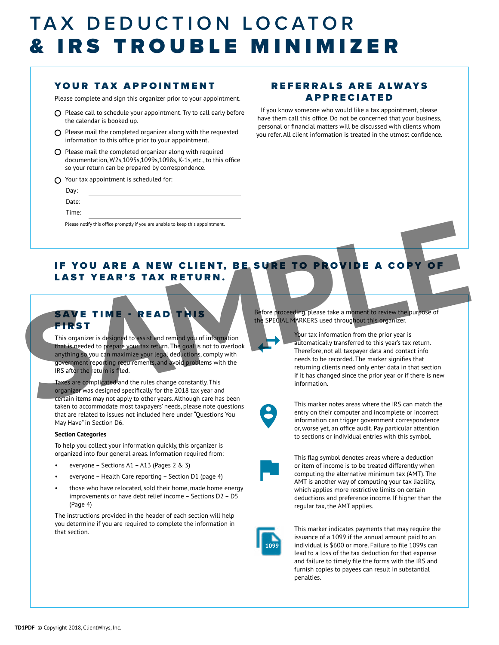## TAX DEDUCTION LOCATOR & IRS TROUBLE MINIMIZER

### YOUR TAX APPOINTMENT

Please complete and sign this organizer prior to your appointment.

- $O$  Please call to schedule your appointment. Try to call early before the calendar is booked up.
- $\Omega$  Please mail the completed organizer along with the requested information to this office prior to your appointment.
- $O$  Please mail the completed organizer along with required documentation, W2s,1095s,1099s,1098s, K-1s, etc., to this office so your return can be prepared by correspondence.
- $\Omega$  Your tax appointment is scheduled for:

| Day:  |                                                                                |
|-------|--------------------------------------------------------------------------------|
| Date: |                                                                                |
| Time: |                                                                                |
|       | Please notify this office promptly if you are unable to keep this appointment. |

### REFERRALS ARE ALWAYS APPRECIATED

If you know someone who would like a tax appointment, please have them call this office. Do not be concerned that your business, personal or financial matters will be discussed with clients whom you refer. All client information is treated in the utmost confidence.

### IF YOU ARE A NEW CLIENT, BE SURE TO PROVIDE A COPY OF LAST YEAR'S TAX RETURN.

## SAVE TIME - READ THIS **FIRST**

This organizer is designed to assist and remind you of information that is needed to prepare your tax return. The goal is not to overlook anything so you can maximize your legal deductions, comply with government reporting requirements, and avoid problems with the IRS after the return is filed.

Taxes are complicated and the rules change constantly. This organizer was designed specifically for the 2018 tax year and certain items may not apply to other years. Although care has been taken to accommodate most taxpayers' needs, please note questions that are related to issues not included here under "Questions You May Have" in Section D6.

#### **Section Categories**

To help you collect your information quickly, this organizer is organized into four general areas. Information required from:

- everyone Sections A1 A13 (Pages 2 & 3)
- everyone Health Care reporting Section D1 (page 4)
- those who have relocated, sold their home, made home energy improvements or have debt relief income – Sections D2 – D5 (Page 4)

The instructions provided in the header of each section will help you determine if you are required to complete the information in that section.

Before proceeding, please take a moment to review the purpose of the SPECIAL MARKERS used throughout this organizer.

Your tax information from the prior year is automatically transferred to this year's tax return. Therefore, not all taxpayer data and contact info needs to be recorded. The marker signifies that returning clients need only enter data in that section if it has changed since the prior year or if there is new information. **SAVE TIME - READ THIS**<br> **SAVE TIME - READ THIS**<br>
SAVE TIME - READ THIS<br>
THEST<br>
THIS SURFACE TO PROVIDE A COPY OF<br>
SAVE TIME - READ THIS<br>
THEST<br>
THIS STATE TO PROVIDE A COPY OF<br>
SAVE TIME - READ THIS SURFACE TO PROVIDE A C



 $\leftarrow$ 

This marker notes areas where the IRS can match the entry on their computer and incomplete or incorrect information can trigger government correspondence or, worse yet, an office audit. Pay particular attention to sections or individual entries with this symbol.



This flag symbol denotes areas where a deduction or item of income is to be treated differently when computing the alternative minimum tax (AMT). The AMT is another way of computing your tax liability, which applies more restrictive limits on certain deductions and preference income. If higher than the regular tax, the AMT applies.



This marker indicates payments that may require the issuance of a 1099 if the annual amount paid to an individual is \$600 or more. Failure to file 1099s can lead to a loss of the tax deduction for that expense and failure to timely file the forms with the IRS and furnish copies to payees can result in substantial penalties.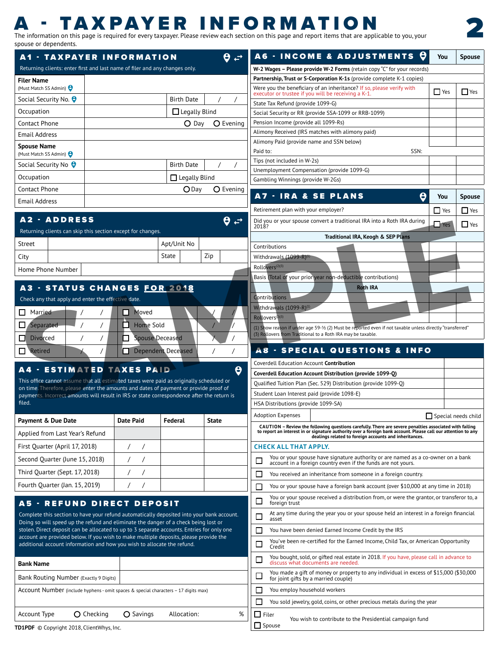## **A - TAXPAYER INFORMATION**<br>The information on this page is required for every taxpayer. Please review each section on this page and report items that are applicable to you, your

spouse or dependents.

2

| <b>A1 - TAXPAYER INFORMATION</b>                                                                                                                                                    |                                                |                      | $\theta \neq 1$       | A6 - INCOME & ADJUSTMENTS 0                                                                                                                                             | You                        | Spouse        |
|-------------------------------------------------------------------------------------------------------------------------------------------------------------------------------------|------------------------------------------------|----------------------|-----------------------|-------------------------------------------------------------------------------------------------------------------------------------------------------------------------|----------------------------|---------------|
| Returning clients: enter first and last name of filer and any changes only.                                                                                                         |                                                |                      |                       | W-2 Wages - Please provide W-2 Forms (retain copy "C" for your records)                                                                                                 |                            |               |
| <b>Filer Name</b>                                                                                                                                                                   |                                                |                      |                       | Partnership, Trust or S-Corporation K-1s (provide complete K-1 copies)                                                                                                  |                            |               |
| (Must Match SS Admin)                                                                                                                                                               |                                                |                      |                       | Were you the beneficiary of an inheritance? If so, please verify with<br>executor or trustee if you will be receiving a K-1.                                            | $\Box$ Yes                 | $\Box$ Yes    |
| Social Security No. @                                                                                                                                                               |                                                | Birth Date           |                       | State Tax Refund (provide 1099-G)                                                                                                                                       |                            |               |
| Occupation                                                                                                                                                                          |                                                | $\Box$ Legally Blind |                       | Social Security or RR (provide SSA-1099 or RRB-1099)                                                                                                                    |                            |               |
| Contact Phone                                                                                                                                                                       |                                                |                      | O Day O Evening       | Pension Income (provide all 1099-Rs)                                                                                                                                    |                            |               |
| <b>Email Address</b>                                                                                                                                                                |                                                |                      |                       | Alimony Received (IRS matches with alimony paid)                                                                                                                        |                            |               |
| <b>Spouse Name</b>                                                                                                                                                                  |                                                |                      |                       | Alimony Paid (provide name and SSN below)                                                                                                                               |                            |               |
| (Must Match SS Admin) <b>O</b>                                                                                                                                                      |                                                |                      |                       | SSN:<br>Paid to:                                                                                                                                                        |                            |               |
| Social Security No $\theta$                                                                                                                                                         |                                                | Birth Date           |                       | Tips (not included in W-2s)<br>Unemployment Compensation (provide 1099-G)                                                                                               |                            |               |
| Occupation                                                                                                                                                                          |                                                | $\Box$ Legally Blind |                       | Gambling Winnings (provide W-2Gs)                                                                                                                                       |                            |               |
| Contact Phone                                                                                                                                                                       |                                                |                      | ODay O Evening        |                                                                                                                                                                         |                            |               |
| <b>Email Address</b>                                                                                                                                                                |                                                |                      |                       | <b>A7 - IRA &amp; SE PLANS</b>                                                                                                                                          | You                        | <b>Spouse</b> |
|                                                                                                                                                                                     |                                                |                      |                       | Retirement plan with your employer?                                                                                                                                     | $\Box$ Yes                 | $\Box$ Yes    |
| <b>A2 - ADDRESS</b>                                                                                                                                                                 |                                                |                      | $\theta \neq$         | Did you or your spouse convert a traditional IRA into a Roth IRA during                                                                                                 | $\Box$ Yes                 | $\Box$ Yes    |
| Returning clients can skip this section except for changes.                                                                                                                         |                                                |                      |                       | 2018?                                                                                                                                                                   |                            |               |
| Street                                                                                                                                                                              |                                                | Apt/Unit No          |                       | Traditional IRA, Keogh & SEP Plans                                                                                                                                      |                            |               |
|                                                                                                                                                                                     |                                                | State                | Zip                   | Contributions<br>Withdrawals (1099-R) <sup>(1)</sup>                                                                                                                    |                            |               |
| City                                                                                                                                                                                |                                                |                      |                       | Rollovers <sup>(2)(3)</sup>                                                                                                                                             |                            |               |
| Home Phone Number                                                                                                                                                                   |                                                |                      |                       | Basis (Total of your prior year non-deductible contributions)                                                                                                           |                            |               |
| A3 - STATUS CHANGES FOR 2018                                                                                                                                                        |                                                |                      |                       | <b>Roth IRA</b>                                                                                                                                                         |                            |               |
| Check any that apply and enter the effective date.                                                                                                                                  |                                                |                      |                       | Contributions                                                                                                                                                           |                            |               |
|                                                                                                                                                                                     | Moved                                          |                      |                       | Withdrawals (1099-R)                                                                                                                                                    |                            |               |
| $\Box$ Married                                                                                                                                                                      |                                                |                      |                       |                                                                                                                                                                         |                            |               |
| Separated                                                                                                                                                                           | Home Sold                                      |                      |                       | (1) Show reason if under age 59-1⁄2 (2) Must be reported even if not taxable unless directly "transferred"                                                              |                            |               |
| $\Box$ Divorced                                                                                                                                                                     | П.<br><b>Spouse Deceased</b>                   |                      |                       | (3) Rollovers from Traditional to a Roth IRA may be taxable.                                                                                                            |                            |               |
| $\Box$ Retired                                                                                                                                                                      | Dependent Deceased                             |                      |                       | <b>A8 - SPECIAL QUESTIONS &amp; INFO</b>                                                                                                                                |                            |               |
|                                                                                                                                                                                     |                                                |                      |                       | Coverdell Education Account <b>Contribution</b>                                                                                                                         |                            |               |
| A4 - ESTIMATED TAXES PAID                                                                                                                                                           |                                                |                      | $\boldsymbol{\Theta}$ | Coverdell Education Account Distribution (provide 1099-Q)                                                                                                               |                            |               |
| This office cannot assume that all estimated taxes were paid as originally scheduled or                                                                                             |                                                |                      |                       | Qualified Tuition Plan (Sec. 529) Distribution (provide 1099-Q)                                                                                                         |                            |               |
| on time. Therefore, please enter the amounts and dates of payment or provide proof of<br>payments. Incorrect amounts will result in IRS or state correspondence after the return is |                                                |                      |                       | Student Loan Interest paid (provide 1098-E)                                                                                                                             |                            |               |
| filed.                                                                                                                                                                              |                                                |                      |                       | HSA Distributions (provide 1099-SA)                                                                                                                                     |                            |               |
|                                                                                                                                                                                     |                                                |                      |                       | <b>Adoption Expenses</b>                                                                                                                                                | $\Box$ Special needs child |               |
| Payment & Due Date                                                                                                                                                                  | <b>Date Paid</b>                               | Federal              | State                 | CAUTION - Review the following questions carefully. There are severe penalties associated with failing                                                                  |                            |               |
| Applied from Last Year's Refund                                                                                                                                                     |                                                |                      |                       | to report an interest in or signature authority over a foreign bank account. Please call our attention to any<br>dealings related to foreign accounts and inheritances. |                            |               |
| First Quarter (April 17, 2018)                                                                                                                                                      | $\prime$ /                                     |                      |                       | <b>CHECK ALL THAT APPLY.</b>                                                                                                                                            |                            |               |
| Second Quarter (June 15, 2018)                                                                                                                                                      | $\left  \begin{array}{cc} \end{array} \right $ |                      |                       | You or your spouse have signature authority or are named as a co-owner on a bank<br>$\Box$                                                                              |                            |               |
| Third Quarter (Sept. 17, 2018)                                                                                                                                                      | $\left  \begin{array}{cc} \end{array} \right $ |                      |                       | account in a foreign country even if the funds are not yours.                                                                                                           |                            |               |
|                                                                                                                                                                                     |                                                |                      |                       | You received an inheritance from someone in a foreign country.                                                                                                          |                            |               |
| Fourth Quarter (Jan. 15, 2019)                                                                                                                                                      |                                                |                      |                       | $\Box$ You or your spouse have a foreign bank account (over \$10,000 at any time in 2018)                                                                               |                            |               |
| A5 - REFUND DIRECT DEPOSIT                                                                                                                                                          |                                                |                      |                       | You or your spouse received a distribution from, or were the grantor, or transferor to, a<br>□<br>foreign trust                                                         |                            |               |
| Complete this section to have your refund automatically deposited into your bank account.                                                                                           |                                                |                      |                       | At any time during the year you or your spouse held an interest in a foreign financial<br>$\Box$                                                                        |                            |               |
| Doing so will speed up the refund and eliminate the danger of a check being lost or                                                                                                 |                                                |                      |                       | asset                                                                                                                                                                   |                            |               |
| stolen. Direct deposit can be allocated to up to 3 separate accounts. Entries for only one<br>account are provided below. If you wish to make multiple deposits, please provide the |                                                |                      |                       | You have been denied Earned Income Credit by the IRS                                                                                                                    |                            |               |
| additional account information and how you wish to allocate the refund.                                                                                                             |                                                |                      |                       | You've been re-certified for the Earned Income, Child Tax, or American Opportunity<br>Credit<br>$\Box$                                                                  |                            |               |
|                                                                                                                                                                                     |                                                |                      |                       | You bought, sold, or gifted real estate in 2018. If you have, please call in advance to<br>discuss what documents are needed.<br>$\Box$                                 |                            |               |
| <b>Bank Name</b>                                                                                                                                                                    |                                                |                      |                       |                                                                                                                                                                         |                            |               |
| Bank Routing Number (Exactly 9 Digits)                                                                                                                                              |                                                |                      |                       | You made a gift of money or property to any individual in excess of \$15,000 (\$30,000<br>$\Box$<br>for joint gifts by a married couple)                                |                            |               |
| Account Number (include hyphens - omit spaces & special characters - 17 digits max)                                                                                                 |                                                |                      |                       | You employ household workers                                                                                                                                            |                            |               |
|                                                                                                                                                                                     |                                                |                      |                       | You sold jewelry, gold, coins, or other precious metals during the year                                                                                                 |                            |               |
| <b>O</b> Checking<br>Account Type                                                                                                                                                   | <b>O</b> Savings                               | Allocation:          | %                     | $\Box$ Filer                                                                                                                                                            |                            |               |
| <b>FD1PDF</b> © Convright 2018. ClientWhys. Inc.                                                                                                                                    |                                                |                      |                       | You wish to contribute to the Presidential campaign fund<br>$\Box$ Spouse                                                                                               |                            |               |
|                                                                                                                                                                                     |                                                |                      |                       |                                                                                                                                                                         |                            |               |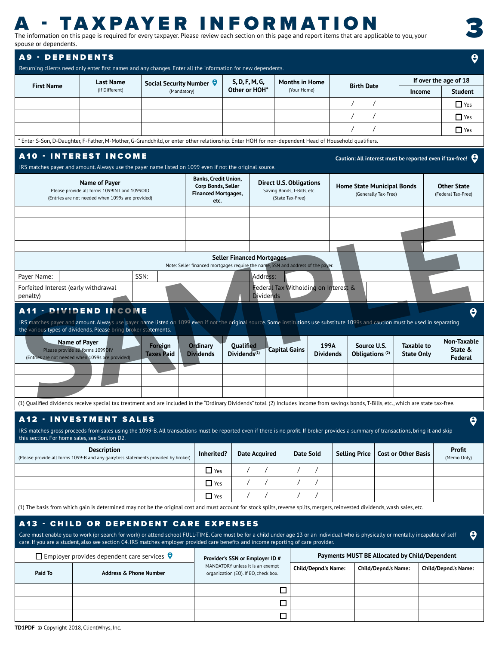# **A - TAXPAYER INFORMATION**<br>The information on this page is required for every taxpayer. Please review each section on this page and report items that are applicable to you, your

| A - TAXPAYER INFORMATION<br>The information on this page is required for every taxpayer. Please review each section on this page and report items that are applicable to you, your<br>spouse or dependents.                                                                                                                                                                           |                                                                                                                   |                                 |                                                                                         |                                                                          |                                                                                   |                                                                       |                                 |                                          |
|---------------------------------------------------------------------------------------------------------------------------------------------------------------------------------------------------------------------------------------------------------------------------------------------------------------------------------------------------------------------------------------|-------------------------------------------------------------------------------------------------------------------|---------------------------------|-----------------------------------------------------------------------------------------|--------------------------------------------------------------------------|-----------------------------------------------------------------------------------|-----------------------------------------------------------------------|---------------------------------|------------------------------------------|
| <b>A9 - DEPENDENTS</b>                                                                                                                                                                                                                                                                                                                                                                |                                                                                                                   |                                 |                                                                                         |                                                                          |                                                                                   |                                                                       |                                 | $\boldsymbol{\Theta}$                    |
| Returning clients need only enter first names and any changes. Enter all the information for new dependents.<br><b>First Name</b>                                                                                                                                                                                                                                                     | <b>Last Name</b>                                                                                                  | Social Security Number $\Theta$ |                                                                                         | S, D, F, M, G,                                                           | <b>Months in Home</b>                                                             | <b>Birth Date</b>                                                     |                                 | If over the age of 18                    |
|                                                                                                                                                                                                                                                                                                                                                                                       | (If Different)                                                                                                    | (Mandatory)                     |                                                                                         | Other or HOH*                                                            | (Your Home)                                                                       |                                                                       | Income                          | Student                                  |
|                                                                                                                                                                                                                                                                                                                                                                                       |                                                                                                                   |                                 |                                                                                         |                                                                          |                                                                                   |                                                                       |                                 | $\Box$ Yes<br>$\Gamma$ Yes               |
|                                                                                                                                                                                                                                                                                                                                                                                       |                                                                                                                   |                                 |                                                                                         |                                                                          |                                                                                   |                                                                       |                                 | $\Box$ Yes                               |
| * Enter S-Son, D-Daughter, F-Father, M-Mother, G-Grandchild, or enter other relationship. Enter HOH for non-dependent Head of Household qualifiers.                                                                                                                                                                                                                                   |                                                                                                                   |                                 |                                                                                         |                                                                          |                                                                                   |                                                                       |                                 |                                          |
| <b>A10 - INTEREST INCOME</b>                                                                                                                                                                                                                                                                                                                                                          |                                                                                                                   |                                 |                                                                                         |                                                                          |                                                                                   | Caution: All interest must be reported even if tax-free! $\Theta$     |                                 |                                          |
| IRS matches payer and amount. Always use the payer name listed on 1099 even if not the original source.                                                                                                                                                                                                                                                                               |                                                                                                                   |                                 |                                                                                         |                                                                          |                                                                                   |                                                                       |                                 |                                          |
|                                                                                                                                                                                                                                                                                                                                                                                       | Name of Payer<br>Please provide all forms 1099INT and 1099OID<br>(Entries are not needed when 1099s are provided) |                                 | <b>Banks, Credit Union,</b><br>Corp Bonds, Seller<br><b>Financed Mortgages,</b><br>etc. |                                                                          | <b>Direct U.S. Obligations</b><br>Saving Bonds, T-Bills, etc.<br>(State Tax-Free) | <b>Home State Municipal Bonds</b><br>(Generally Tax-Free)             |                                 | <b>Other State</b><br>(Federal Tax-Free) |
|                                                                                                                                                                                                                                                                                                                                                                                       |                                                                                                                   |                                 |                                                                                         |                                                                          |                                                                                   |                                                                       |                                 |                                          |
|                                                                                                                                                                                                                                                                                                                                                                                       |                                                                                                                   |                                 |                                                                                         |                                                                          |                                                                                   |                                                                       |                                 |                                          |
|                                                                                                                                                                                                                                                                                                                                                                                       |                                                                                                                   |                                 |                                                                                         |                                                                          |                                                                                   |                                                                       |                                 |                                          |
|                                                                                                                                                                                                                                                                                                                                                                                       |                                                                                                                   |                                 |                                                                                         | Seller Financed Mortgages                                                |                                                                                   |                                                                       |                                 |                                          |
| Payer Name:                                                                                                                                                                                                                                                                                                                                                                           |                                                                                                                   | SSN:                            |                                                                                         | Address:                                                                 | Note: Seller financed mortgages require the name, SSN and address of the payer.   |                                                                       |                                 |                                          |
| Forfeited Interest (early withdrawal                                                                                                                                                                                                                                                                                                                                                  |                                                                                                                   |                                 |                                                                                         |                                                                          | Federal Tax Witholding on Interest &                                              |                                                                       |                                 |                                          |
| penalty)                                                                                                                                                                                                                                                                                                                                                                              |                                                                                                                   |                                 |                                                                                         | <b>Dividends</b>                                                         |                                                                                   |                                                                       |                                 |                                          |
| <b>A11 - DIVIDEND INCOME</b><br>IRS matches payer and amount. Always use payer name listed on 1099 even if not the original source. Some institutions use substitute 1099s and caution must be used in separating<br>the various types of dividends. Please bring broker statements.                                                                                                  |                                                                                                                   |                                 |                                                                                         |                                                                          |                                                                                   |                                                                       |                                 | $\boldsymbol{\Theta}$                    |
| Name of Payer<br>Please provide all forms 1099DIV<br>(Entries are not needed when 1099s are provided)                                                                                                                                                                                                                                                                                 |                                                                                                                   | Foreign<br><b>Taxes Paid</b>    | Ordinary<br><b>Dividends</b>                                                            | Qualified<br>$Dividends^{(1)}$                                           | <b>Capital Gains</b>                                                              | 199A<br>Source U.S.<br><b>Dividends</b><br>Obligations <sup>(2)</sup> | Taxable to<br><b>State Only</b> | Non-Taxable<br>State &<br>Federal        |
|                                                                                                                                                                                                                                                                                                                                                                                       |                                                                                                                   |                                 |                                                                                         |                                                                          |                                                                                   |                                                                       |                                 |                                          |
|                                                                                                                                                                                                                                                                                                                                                                                       |                                                                                                                   |                                 |                                                                                         |                                                                          |                                                                                   |                                                                       |                                 |                                          |
| (1) Qualified dividends receive special tax treatment and are included in the "Ordinary Dividends" total. (2) Includes income from savings bonds, T-Bills, etc., which are state tax-free.                                                                                                                                                                                            |                                                                                                                   |                                 |                                                                                         |                                                                          |                                                                                   |                                                                       |                                 |                                          |
| <b>A12 · INVESTMENT SALES</b><br>IRS matches gross proceeds from sales using the 1099-B. All transactions must be reported even if there is no profit. If broker provides a summary of transactions, bring it and skip<br>this section. For home sales, see Section D2.                                                                                                               |                                                                                                                   |                                 |                                                                                         |                                                                          |                                                                                   |                                                                       |                                 | $\theta$                                 |
| (Please provide all forms 1099-B and any gain/loss statements provided by broker)                                                                                                                                                                                                                                                                                                     | <b>Description</b>                                                                                                |                                 | Inherited?                                                                              | <b>Date Acquired</b>                                                     | <b>Date Sold</b>                                                                  | Selling Price   Cost or Other Basis                                   |                                 | Profit<br>(Memo Only)                    |
|                                                                                                                                                                                                                                                                                                                                                                                       |                                                                                                                   |                                 | $\Box$ Yes                                                                              |                                                                          |                                                                                   |                                                                       |                                 |                                          |
|                                                                                                                                                                                                                                                                                                                                                                                       |                                                                                                                   |                                 | $\Box$ Yes                                                                              |                                                                          |                                                                                   |                                                                       |                                 |                                          |
|                                                                                                                                                                                                                                                                                                                                                                                       |                                                                                                                   |                                 | $\blacksquare$ Yes                                                                      |                                                                          |                                                                                   |                                                                       |                                 |                                          |
| (1) The basis from which gain is determined may not be the original cost and must account for stock splits, reverse splits, mergers, reinvested dividends, wash sales, etc.                                                                                                                                                                                                           |                                                                                                                   |                                 |                                                                                         |                                                                          |                                                                                   |                                                                       |                                 |                                          |
| <b>A13 - CHILD OR DEPENDENT CARE EXPENSES</b><br>Care must enable you to work (or search for work) or attend school FULL-TIME. Care must be for a child under age 13 or an individual who is physically or mentally incapable of self $\Theta$<br>care. If you are a student, also see section C4. IRS matches employer provided care benefits and income reporting of care provider. |                                                                                                                   |                                 |                                                                                         |                                                                          |                                                                                   |                                                                       |                                 |                                          |
|                                                                                                                                                                                                                                                                                                                                                                                       | $\Box$ Employer provides dependent care services $\Theta$                                                         |                                 |                                                                                         | Provider's SSN or Employer ID #                                          |                                                                                   | Payments MUST BE Allocated by Child/Dependent                         |                                 |                                          |
| Paid To                                                                                                                                                                                                                                                                                                                                                                               | <b>Address &amp; Phone Number</b>                                                                                 |                                 |                                                                                         | MANDATORY unless it is an exempt<br>organization (EO). If EO, check box. | <b>Child/Depnd.'s Name:</b>                                                       | <b>Child/Depnd.'s Name:</b>                                           |                                 | Child/Depnd.'s Name:                     |
|                                                                                                                                                                                                                                                                                                                                                                                       |                                                                                                                   |                                 |                                                                                         |                                                                          | $\Box$                                                                            |                                                                       |                                 |                                          |
|                                                                                                                                                                                                                                                                                                                                                                                       |                                                                                                                   |                                 |                                                                                         |                                                                          | $\Box$                                                                            |                                                                       |                                 |                                          |
|                                                                                                                                                                                                                                                                                                                                                                                       |                                                                                                                   |                                 |                                                                                         |                                                                          | $\Box$                                                                            |                                                                       |                                 |                                          |

**TD1PDF** © Copyright 2018, ClientWhys, Inc.